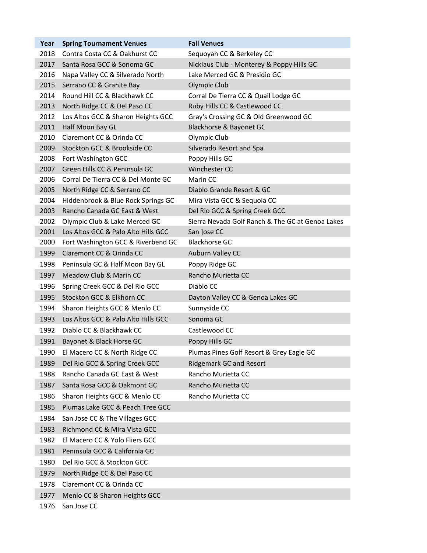| Year | <b>Spring Tournament Venues</b>     | <b>Fall Venues</b>                               |
|------|-------------------------------------|--------------------------------------------------|
| 2018 | Contra Costa CC & Oakhurst CC       | Sequoyah CC & Berkeley CC                        |
| 2017 | Santa Rosa GCC & Sonoma GC          | Nicklaus Club - Monterey & Poppy Hills GC        |
| 2016 | Napa Valley CC & Silverado North    | Lake Merced GC & Presidio GC                     |
| 2015 | Serrano CC & Granite Bay            | Olympic Club                                     |
| 2014 | Round Hill CC & Blackhawk CC        | Corral De Tierra CC & Quail Lodge GC             |
| 2013 | North Ridge CC & Del Paso CC        | Ruby Hills CC & Castlewood CC                    |
| 2012 | Los Altos GCC & Sharon Heights GCC  | Gray's Crossing GC & Old Greenwood GC            |
| 2011 | Half Moon Bay GL                    | Blackhorse & Bayonet GC                          |
| 2010 | Claremont CC & Orinda CC            | Olympic Club                                     |
| 2009 | Stockton GCC & Brookside CC         | Silverado Resort and Spa                         |
| 2008 | Fort Washington GCC                 | Poppy Hills GC                                   |
| 2007 | Green Hills CC & Peninsula GC       | Winchester CC                                    |
| 2006 | Corral De Tierra CC & Del Monte GC  | Marin CC                                         |
| 2005 | North Ridge CC & Serrano CC         | Diablo Grande Resort & GC                        |
| 2004 | Hiddenbrook & Blue Rock Springs GC  | Mira Vista GCC & Sequoia CC                      |
| 2003 | Rancho Canada GC East & West        | Del Rio GCC & Spring Creek GCC                   |
| 2002 | Olympic Club & Lake Merced GC       | Sierra Nevada Golf Ranch & The GC at Genoa Lakes |
| 2001 | Los Altos GCC & Palo Alto Hills GCC | San Jose CC                                      |
| 2000 | Fort Washington GCC & Riverbend GC  | <b>Blackhorse GC</b>                             |
| 1999 | Claremont CC & Orinda CC            | Auburn Valley CC                                 |
| 1998 | Peninsula GC & Half Moon Bay GL     | Poppy Ridge GC                                   |
| 1997 | Meadow Club & Marin CC              | Rancho Murietta CC                               |
| 1996 | Spring Creek GCC & Del Rio GCC      | Diablo CC                                        |
| 1995 | Stockton GCC & Elkhorn CC           | Dayton Valley CC & Genoa Lakes GC                |
| 1994 | Sharon Heights GCC & Menlo CC       | Sunnyside CC                                     |
| 1993 | Los Altos GCC & Palo Alto Hills GCC | Sonoma GC                                        |
| 1992 | Diablo CC & Blackhawk CC            | Castlewood CC                                    |
| 1991 | Bayonet & Black Horse GC            | Poppy Hills GC                                   |
| 1990 | El Macero CC & North Ridge CC       | Plumas Pines Golf Resort & Grey Eagle GC         |
| 1989 | Del Rio GCC & Spring Creek GCC      | <b>Ridgemark GC and Resort</b>                   |
| 1988 | Rancho Canada GC East & West        | Rancho Murietta CC                               |
| 1987 | Santa Rosa GCC & Oakmont GC         | Rancho Murietta CC                               |
| 1986 | Sharon Heights GCC & Menlo CC       | Rancho Murietta CC                               |
| 1985 | Plumas Lake GCC & Peach Tree GCC    |                                                  |
| 1984 | San Jose CC & The Villages GCC      |                                                  |
| 1983 | Richmond CC & Mira Vista GCC        |                                                  |
| 1982 | El Macero CC & Yolo Fliers GCC      |                                                  |
| 1981 | Peninsula GCC & California GC       |                                                  |
| 1980 | Del Rio GCC & Stockton GCC          |                                                  |
| 1979 | North Ridge CC & Del Paso CC        |                                                  |
| 1978 | Claremont CC & Orinda CC            |                                                  |
| 1977 | Menlo CC & Sharon Heights GCC       |                                                  |
|      |                                     |                                                  |
| 1976 | San Jose CC                         |                                                  |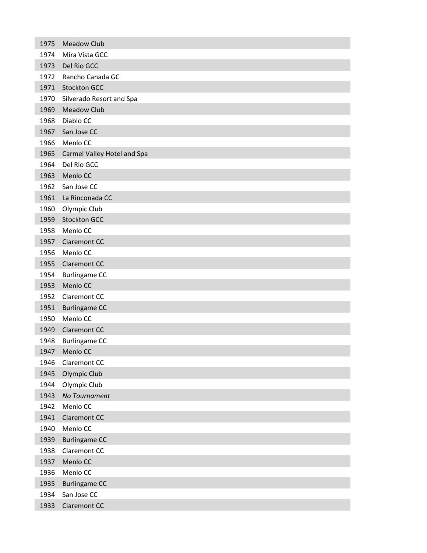| 1975 | <b>Meadow Club</b>          |
|------|-----------------------------|
| 1974 | Mira Vista GCC              |
| 1973 | Del Rio GCC                 |
| 1972 | Rancho Canada GC            |
| 1971 | <b>Stockton GCC</b>         |
| 1970 | Silverado Resort and Spa    |
| 1969 | <b>Meadow Club</b>          |
| 1968 | Diablo CC                   |
| 1967 | San Jose CC                 |
| 1966 | Menlo CC                    |
| 1965 | Carmel Valley Hotel and Spa |
| 1964 | Del Rio GCC                 |
| 1963 | Menlo CC                    |
| 1962 | San Jose CC                 |
| 1961 | La Rinconada CC             |
| 1960 | Olympic Club                |
| 1959 | <b>Stockton GCC</b>         |
| 1958 | Menlo CC                    |
| 1957 | <b>Claremont CC</b>         |
| 1956 | Menlo CC                    |
| 1955 | <b>Claremont CC</b>         |
| 1954 | <b>Burlingame CC</b>        |
| 1953 | Menlo CC                    |
| 1952 | Claremont CC                |
| 1951 | <b>Burlingame CC</b>        |
| 1950 | Menlo CC                    |
| 1949 | <b>Claremont CC</b>         |
| 1948 | <b>Burlingame CC</b>        |
| 1947 | Menlo CC                    |
| 1946 | Claremont CC                |
| 1945 | Olympic Club                |
| 1944 | Olympic Club                |
| 1943 | No Tournament               |
| 1942 | Menlo CC                    |
| 1941 | Claremont CC                |
| 1940 | Menlo CC                    |
| 1939 | <b>Burlingame CC</b>        |
| 1938 | Claremont CC                |
| 1937 | Menlo CC                    |
| 1936 | Menlo CC                    |
| 1935 | <b>Burlingame CC</b>        |
| 1934 | San Jose CC                 |
| 1933 | Claremont CC                |